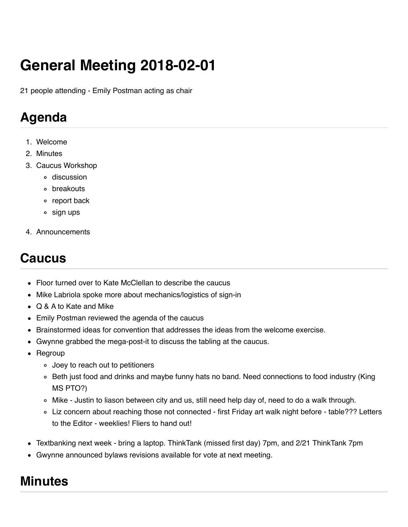# **General Meeting 2018-02-01**

21 people attending - Emily Postman acting as chair

## **Agenda**

- 1. Welcome
- 2. Minutes
- 3. Caucus Workshop
	- discussion
	- o breakouts
	- o report back
	- sign ups
- 4. Announcements

#### **Caucus**

- Floor turned over to Kate McClellan to describe the caucus
- Mike Labriola spoke more about mechanics/logistics of sign-in
- Q & A to Kate and Mike
- Emily Postman reviewed the agenda of the caucus
- **Brainstormed ideas for convention that addresses the ideas from the welcome exercise.**
- Gwynne grabbed the mega-post-it to discuss the tabling at the caucus.
- Regroup
	- Joey to reach out to petitioners
	- Beth just food and drinks and maybe funny hats no band. Need connections to food industry (King MS PTO?)
	- Mike Justin to liason between city and us, still need help day of, need to do a walk through.
	- Liz concern about reaching those not connected first Friday art walk night before table??? Letters to the Editor - weeklies! Fliers to hand out!
- Textbanking next week bring a laptop. ThinkTank (missed first day) 7pm, and 2/21 ThinkTank 7pm
- Gwynne announced bylaws revisions available for vote at next meeting.

## **Minutes**